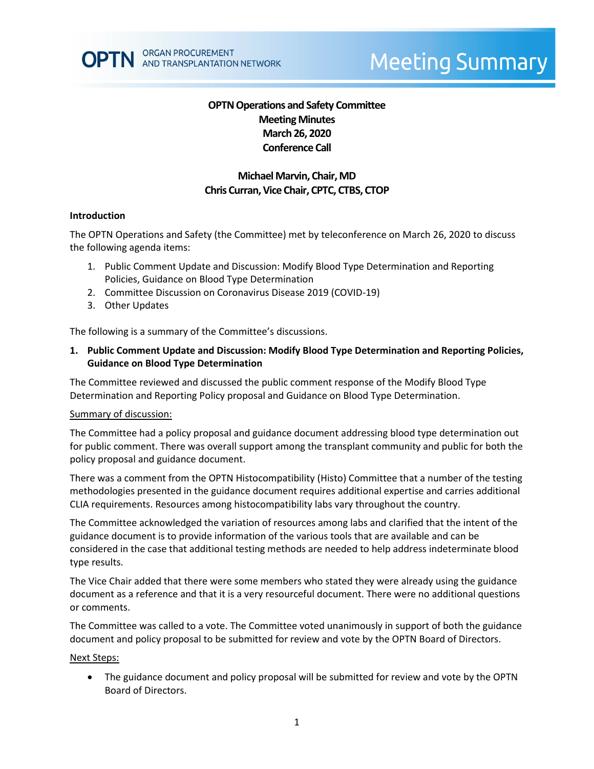# **OPTN Operations and Safety Committee Meeting Minutes March 26, 2020 Conference Call**

# **Michael Marvin, Chair, MD Chris Curran, Vice Chair, CPTC, CTBS, CTOP**

### **Introduction**

The OPTN Operations and Safety (the Committee) met by teleconference on March 26, 2020 to discuss the following agenda items:

- 1. Public Comment Update and Discussion: Modify Blood Type Determination and Reporting Policies, Guidance on Blood Type Determination
- 2. Committee Discussion on Coronavirus Disease 2019 (COVID-19)
- 3. Other Updates

The following is a summary of the Committee's discussions.

## **1. Public Comment Update and Discussion: Modify Blood Type Determination and Reporting Policies, Guidance on Blood Type Determination**

The Committee reviewed and discussed the public comment response of the Modify Blood Type Determination and Reporting Policy proposal and Guidance on Blood Type Determination.

### Summary of discussion:

The Committee had a policy proposal and guidance document addressing blood type determination out for public comment. There was overall support among the transplant community and public for both the policy proposal and guidance document.

There was a comment from the OPTN Histocompatibility (Histo) Committee that a number of the testing methodologies presented in the guidance document requires additional expertise and carries additional CLIA requirements. Resources among histocompatibility labs vary throughout the country.

The Committee acknowledged the variation of resources among labs and clarified that the intent of the guidance document is to provide information of the various tools that are available and can be considered in the case that additional testing methods are needed to help address indeterminate blood type results.

The Vice Chair added that there were some members who stated they were already using the guidance document as a reference and that it is a very resourceful document. There were no additional questions or comments.

The Committee was called to a vote. The Committee voted unanimously in support of both the guidance document and policy proposal to be submitted for review and vote by the OPTN Board of Directors.

#### Next Steps:

• The guidance document and policy proposal will be submitted for review and vote by the OPTN Board of Directors.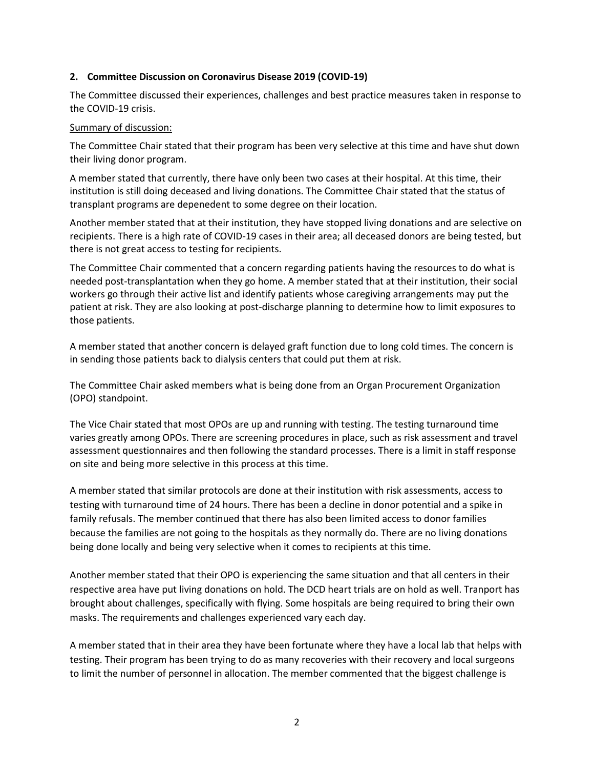#### **2. Committee Discussion on Coronavirus Disease 2019 (COVID-19)**

The Committee discussed their experiences, challenges and best practice measures taken in response to the COVID-19 crisis.

#### Summary of discussion:

The Committee Chair stated that their program has been very selective at this time and have shut down their living donor program.

A member stated that currently, there have only been two cases at their hospital. At this time, their institution is still doing deceased and living donations. The Committee Chair stated that the status of transplant programs are depenedent to some degree on their location.

Another member stated that at their institution, they have stopped living donations and are selective on recipients. There is a high rate of COVID-19 cases in their area; all deceased donors are being tested, but there is not great access to testing for recipients.

The Committee Chair commented that a concern regarding patients having the resources to do what is needed post-transplantation when they go home. A member stated that at their institution, their social workers go through their active list and identify patients whose caregiving arrangements may put the patient at risk. They are also looking at post-discharge planning to determine how to limit exposures to those patients.

A member stated that another concern is delayed graft function due to long cold times. The concern is in sending those patients back to dialysis centers that could put them at risk.

The Committee Chair asked members what is being done from an Organ Procurement Organization (OPO) standpoint.

The Vice Chair stated that most OPOs are up and running with testing. The testing turnaround time varies greatly among OPOs. There are screening procedures in place, such as risk assessment and travel assessment questionnaires and then following the standard processes. There is a limit in staff response on site and being more selective in this process at this time.

A member stated that similar protocols are done at their institution with risk assessments, access to testing with turnaround time of 24 hours. There has been a decline in donor potential and a spike in family refusals. The member continued that there has also been limited access to donor families because the families are not going to the hospitals as they normally do. There are no living donations being done locally and being very selective when it comes to recipients at this time.

Another member stated that their OPO is experiencing the same situation and that all centers in their respective area have put living donations on hold. The DCD heart trials are on hold as well. Tranport has brought about challenges, specifically with flying. Some hospitals are being required to bring their own masks. The requirements and challenges experienced vary each day.

A member stated that in their area they have been fortunate where they have a local lab that helps with testing. Their program has been trying to do as many recoveries with their recovery and local surgeons to limit the number of personnel in allocation. The member commented that the biggest challenge is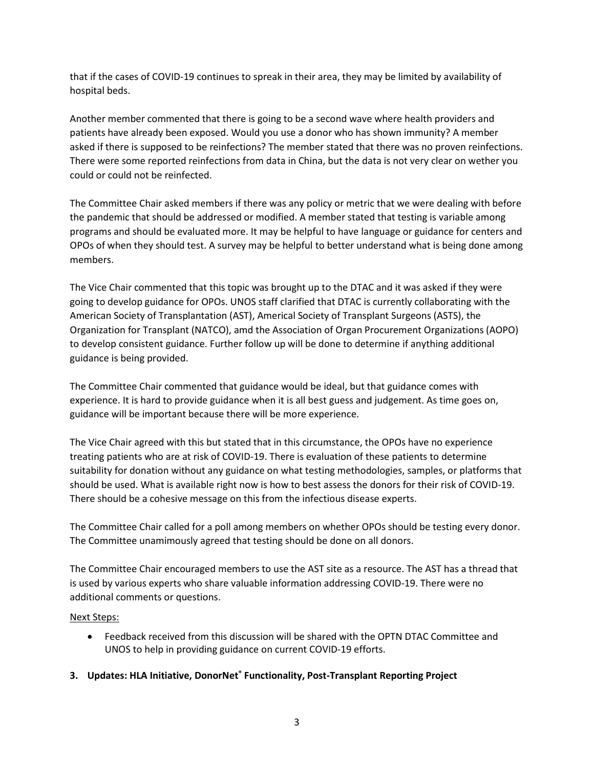that if the cases of COVID-19 continues to spreak in their area, they may be limited by availability of hospital beds.

Another member commented that there is going to be a second wave where health providers and patients have already been exposed. Would you use a donor who has shown immunity? A member asked if there is supposed to be reinfections? The member stated that there was no proven reinfections. There were some reported reinfections from data in China, but the data is not very clear on wether you could or could not be reinfected.

The Committee Chair asked members if there was any policy or metric that we were dealing with before the pandemic that should be addressed or modified. A member stated that testing is variable among programs and should be evaluated more. It may be helpful to have language or guidance for centers and OPOs of when they should test. A survey may be helpful to better understand what is being done among members.

The Vice Chair commented that this topic was brought up to the DTAC and it was asked if they were going to develop guidance for OPOs. UNOS staff clarified that DTAC is currently collaborating with the American Society of Transplantation (AST), Americal Society of Transplant Surgeons (ASTS), the Organization for Transplant (NATCO), amd the Association of Organ Procurement Organizations (AOPO) to develop consistent guidance. Further follow up will be done to determine if anything additional guidance is being provided.

The Committee Chair commented that guidance would be ideal, but that guidance comes with experience. It is hard to provide guidance when it is all best guess and judgement. As time goes on, guidance will be important because there will be more experience.

The Vice Chair agreed with this but stated that in this circumstance, the OPOs have no experience treating patients who are at risk of COVID-19. There is evaluation of these patients to determine suitability for donation without any guidance on what testing methodologies, samples, or platforms that should be used. What is available right now is how to best assess the donors for their risk of COVID-19. There should be a cohesive message on this from the infectious disease experts.

The Committee Chair called for a poll among members on whether OPOs should be testing every donor. The Committee unamimously agreed that testing should be done on all donors.

The Committee Chair encouraged members to use the AST site as a resource. The AST has a thread that is used by various experts who share valuable information addressing COVID-19. There were no additional comments or questions.

# Next Steps:

- Feedback received from this discussion will be shared with the OPTN DTAC Committee and UNOS to help in providing guidance on current COVID-19 efforts.
- **3. Updates: HLA Initiative, DonorNet® Functionality, Post-Transplant Reporting Project**